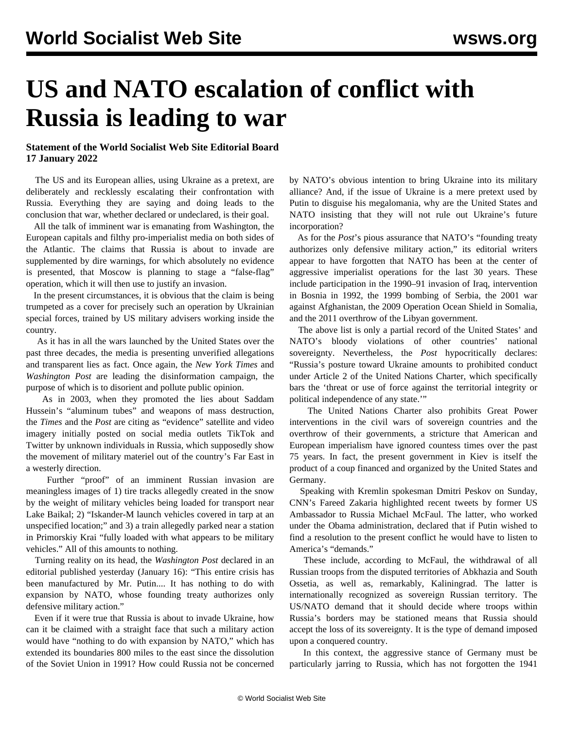## **US and NATO escalation of conflict with Russia is leading to war**

## **Statement of the World Socialist Web Site Editorial Board 17 January 2022**

 The US and its European allies, using Ukraine as a pretext, are deliberately and recklessly escalating their confrontation with Russia. Everything they are saying and doing leads to the conclusion that war, whether declared or undeclared, is their goal.

 All the talk of imminent war is emanating from Washington, the European capitals and filthy pro-imperialist media on both sides of the Atlantic. The claims that Russia is about to invade are supplemented by dire warnings, for which absolutely no evidence is presented, that Moscow is planning to stage a "false-flag" operation, which it will then use to justify an invasion.

 In the present circumstances, it is obvious that the claim is being trumpeted as a cover for precisely such an operation by Ukrainian special forces, trained by US military advisers working inside the country.

 As it has in all the wars launched by the United States over the past three decades, the media is presenting unverified allegations and transparent lies as fact. Once again, the *New York Times* and *Washington Post* are leading the disinformation campaign, the purpose of which is to disorient and pollute public opinion.

 As in 2003, when they promoted the lies about Saddam Hussein's "aluminum tubes" and weapons of mass destruction, the *Times* and the *Post* are citing as "evidence" satellite and video imagery initially posted on social media outlets TikTok and Twitter by unknown individuals in Russia, which supposedly show the movement of military materiel out of the country's Far East in a westerly direction.

 Further "proof" of an imminent Russian invasion are meaningless images of 1) tire tracks allegedly created in the snow by the weight of military vehicles being loaded for transport near Lake Baikal; 2) "Iskander-M launch vehicles covered in tarp at an unspecified location;" and 3) a train allegedly parked near a station in Primorskiy Krai "fully loaded with what appears to be military vehicles." All of this amounts to nothing.

 Turning reality on its head, the *Washington Post* declared in an editorial published yesterday (January 16): "This entire crisis has been manufactured by Mr. Putin.... It has nothing to do with expansion by NATO, whose founding treaty authorizes only defensive military action."

 Even if it were true that Russia is about to invade Ukraine, how can it be claimed with a straight face that such a military action would have "nothing to do with expansion by NATO," which has extended its boundaries 800 miles to the east since the dissolution of the Soviet Union in 1991? How could Russia not be concerned by NATO's obvious intention to bring Ukraine into its military alliance? And, if the issue of Ukraine is a mere pretext used by Putin to disguise his megalomania, why are the United States and NATO insisting that they will not rule out Ukraine's future incorporation?

 As for the *Post*'s pious assurance that NATO's "founding treaty authorizes only defensive military action," its editorial writers appear to have forgotten that NATO has been at the center of aggressive imperialist operations for the last 30 years. These include participation in the 1990–91 invasion of Iraq, intervention in Bosnia in 1992, the 1999 bombing of Serbia, the 2001 war against Afghanistan, the 2009 Operation Ocean Shield in Somalia, and the 2011 overthrow of the Libyan government.

 The above list is only a partial record of the United States' and NATO's bloody violations of other countries' national sovereignty. Nevertheless, the *Post* hypocritically declares: "Russia's posture toward Ukraine amounts to prohibited conduct under Article 2 of the United Nations Charter, which specifically bars the 'threat or use of force against the territorial integrity or political independence of any state.'"

 The United Nations Charter also prohibits Great Power interventions in the civil wars of sovereign countries and the overthrow of their governments, a stricture that American and European imperialism have ignored countess times over the past 75 years. In fact, the present government in Kiev is itself the product of a coup financed and organized by the United States and Germany.

 Speaking with Kremlin spokesman Dmitri Peskov on Sunday, CNN's Fareed Zakaria highlighted recent tweets by former US Ambassador to Russia Michael McFaul. The latter, who worked under the Obama administration, declared that if Putin wished to find a resolution to the present conflict he would have to listen to America's "demands."

 These include, according to McFaul, the withdrawal of all Russian troops from the disputed territories of Abkhazia and South Ossetia, as well as, remarkably, Kaliningrad. The latter is internationally recognized as sovereign Russian territory. The US/NATO demand that it should decide where troops within Russia's borders may be stationed means that Russia should accept the loss of its sovereignty. It is the type of demand imposed upon a conquered country.

 In this context, the aggressive stance of Germany must be particularly jarring to Russia, which has not forgotten the 1941